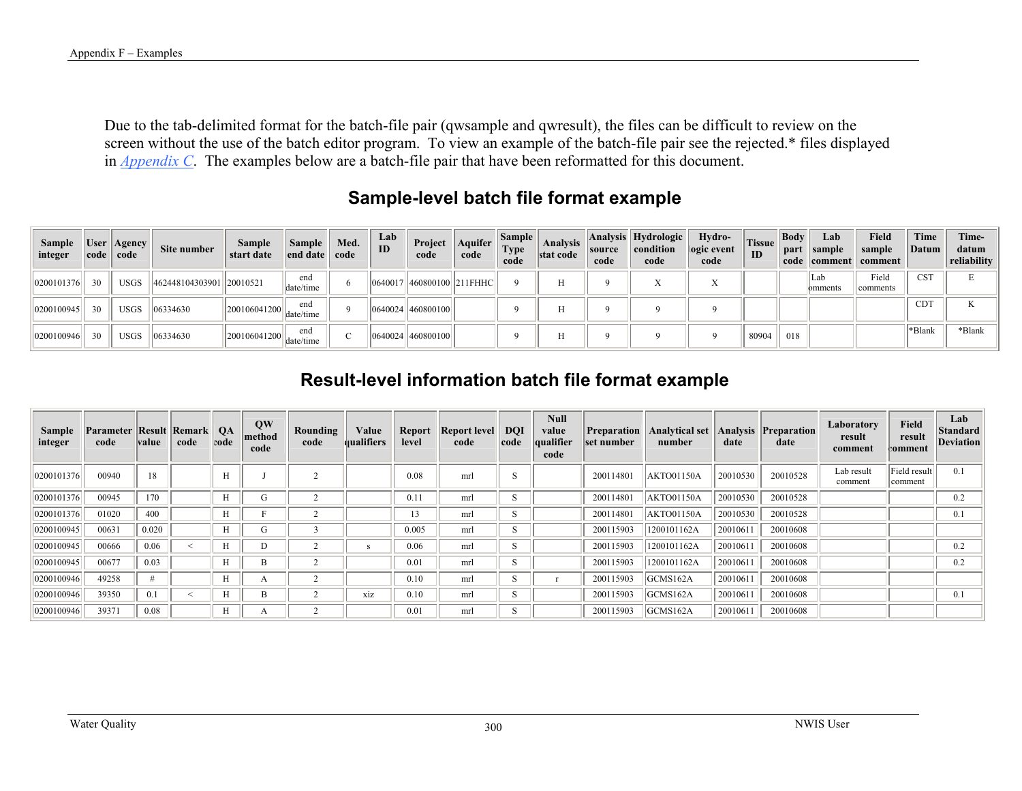<span id="page-0-0"></span>Due to the tab-delimited format for the batch-file pair (qwsample and qwresult), the files can be difficult to review on the screen without the use of the batch editor program. To view an example of the batch-file pair see the rejected.\* files displayed in *Appendix C*. The examples below are a batch-file pair that have been reformatted for this document.

## **Sample-level batch file format example**

| <b>Sample</b><br>integer |    | User   Agency<br>$ code $ code | Site number              | Sample<br>start date | Sample<br>end date code | Med. | Lab<br>ID | Project<br>code             | Aquifer<br>code | $\blacksquare$ Sample $\blacksquare$<br><b>Type</b><br>code | <b>Analysis</b><br>stat code | source<br>code | Analysis Hydrologic<br>condition<br>code | Hydro-<br>logic event<br>code | <b>Tissue</b><br>ID | Body<br>  part | Lab<br>sample   | Field<br>sample<br>code comment comment | Time<br>Datum | Time-<br>datum<br>reliability |
|--------------------------|----|--------------------------------|--------------------------|----------------------|-------------------------|------|-----------|-----------------------------|-----------------|-------------------------------------------------------------|------------------------------|----------------|------------------------------------------|-------------------------------|---------------------|----------------|-----------------|-----------------------------------------|---------------|-------------------------------|
| 0200101376               | 30 | <b>USGS</b>                    | 462448104303901 20010521 |                      | end<br>date/time        |      |           | 0640017 460800100 21 1 FHHC |                 |                                                             |                              |                |                                          |                               |                     |                | ∣Lat<br>omments | Field<br>comments                       | CST           |                               |
| 0200100945               | 30 | USGS                           | $ 06334630\rangle$       | 200106041200         | end<br>date/time        |      |           | 0640024 460800100           |                 |                                                             |                              |                |                                          |                               |                     |                |                 |                                         | <b>CDT</b>    |                               |
| 0200100946               | 30 | <b>USGS</b>                    | 06334630                 | 200106041200         | end<br>date/time        |      |           | 0640024 460800100           |                 |                                                             |                              |                |                                          |                               | 80904               | 018            |                 |                                         | *Blank        | *Blank                        |

## **Result-level information batch file format example**

| Sample<br>integer | <b>Parameter Result Remark</b><br>code | value | code | QA<br>code | QW<br>method<br>code | Rounding<br>code | Value<br>qualifiers | level | Report   Report level  <br>code | <b>DQI</b><br>code | <b>Null</b><br>value<br>qualifier<br>code | <b>Preparation</b><br>set number | <b>Analytical set</b><br>number | date     | <b>Analysis Preparation</b><br>date | Laboratory<br>result<br>comment | <b>Field</b><br>result<br>:omment | Lab<br>Standard<br><b>Deviation</b> |
|-------------------|----------------------------------------|-------|------|------------|----------------------|------------------|---------------------|-------|---------------------------------|--------------------|-------------------------------------------|----------------------------------|---------------------------------|----------|-------------------------------------|---------------------------------|-----------------------------------|-------------------------------------|
| 0200101376        | 00940                                  | 18    |      | H          |                      |                  |                     | 0.08  | mrl                             | S                  |                                           | 200114801                        | <b>AKTO01150A</b>               | 20010530 | 20010528                            | Lab result<br>comment           | Field result<br>comment           | 0.1                                 |
| 0200101376        | 00945                                  | 170   |      | H          | G                    |                  |                     | 0.1   | mrl                             | <sup>S</sup>       |                                           | 200114801                        | <b>AKTO01150A</b>               | 20010530 | 20010528                            |                                 |                                   | 0.2                                 |
| 0200101376        | 01020                                  | 400   |      | H          |                      |                  |                     | 13    | mrl                             | S                  |                                           | 200114801                        | <b>AKTO01150A</b>               | 20010530 | 20010528                            |                                 |                                   | 0.1                                 |
| 0200100945        | 00631                                  | 0.020 |      | H          | U                    |                  |                     | 0.005 | mrl                             | S                  |                                           | 200115903                        | 1200101162A                     | 20010611 | 20010608                            |                                 |                                   |                                     |
| 0200100945        | 00666                                  | 0.06  |      | H          |                      |                  | S                   | 0.06  | mrl                             | S                  |                                           | 200115903                        | 1200101162A                     | 20010611 | 20010608                            |                                 |                                   | 0.2                                 |
| 0200100945        | 00677                                  | 0.03  |      | H          | B                    |                  |                     | 0.01  | mrl                             | S                  |                                           | 200115903                        | 1200101162A                     | 20010611 | 20010608                            |                                 |                                   | 0.2                                 |
| 0200100946        | 49258                                  | $\pm$ |      | H          | A                    |                  |                     | 0.10  | mrl                             | $\mathbf{C}$       |                                           | 200115903                        | GCMS162A                        | 20010611 | 20010608                            |                                 |                                   |                                     |
| 0200100946        | 39350                                  | 0.1   |      | H          | B                    |                  | xiz                 | 0.10  | mrl                             | <sup>S</sup>       |                                           | 200115903                        | GCMS162A                        | 20010611 | 20010608                            |                                 |                                   | 0.1                                 |
| 0200100946        | 3937                                   | 0.08  |      | H          | $\overline{A}$       |                  |                     | 0.01  | mrl                             | S                  |                                           | 200115903                        | GCMS162A                        | 20010611 | 20010608                            |                                 |                                   |                                     |